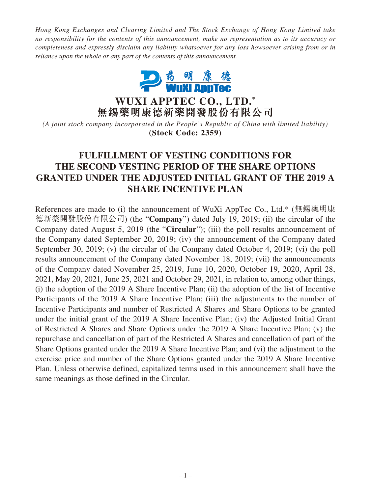*Hong Kong Exchanges and Clearing Limited and The Stock Exchange of Hong Kong Limited take no responsibility for the contents of this announcement, make no representation as to its accuracy or completeness and expressly disclaim any liability whatsoever for any loss howsoever arising from or in reliance upon the whole or any part of the contents of this announcement.*



**WUXI APPTEC CO., LTD. \* 無錫藥明康德新藥開發股份有限公司**

*(A joint stock company incorporated in the People's Republic of China with limited liability)* **(Stock Code: 2359)**

# **FULFILLMENT OF VESTING CONDITIONS FOR THE SECOND VESTING PERIOD OF THE SHARE OPTIONS GRANTED UNDER THE ADJUSTED INITIAL GRANT OF THE 2019 A SHARE INCENTIVE PLAN**

References are made to (i) the announcement of WuXi AppTec Co., Ltd.\* (無錫藥明康 德新藥開發股份有限公司) (the "**Company**") dated July 19, 2019; (ii) the circular of the Company dated August 5, 2019 (the "**Circular**"); (iii) the poll results announcement of the Company dated September 20, 2019; (iv) the announcement of the Company dated September 30, 2019; (v) the circular of the Company dated October 4, 2019; (vi) the poll results announcement of the Company dated November 18, 2019; (vii) the announcements of the Company dated November 25, 2019, June 10, 2020, October 19, 2020, April 28, 2021, May 20, 2021, June 25, 2021 and October 29, 2021, in relation to, among other things, (i) the adoption of the 2019 A Share Incentive Plan; (ii) the adoption of the list of Incentive Participants of the 2019 A Share Incentive Plan; (iii) the adjustments to the number of Incentive Participants and number of Restricted A Shares and Share Options to be granted under the initial grant of the 2019 A Share Incentive Plan; (iv) the Adjusted Initial Grant of Restricted A Shares and Share Options under the 2019 A Share Incentive Plan; (v) the repurchase and cancellation of part of the Restricted A Shares and cancellation of part of the Share Options granted under the 2019 A Share Incentive Plan; and (vi) the adjustment to the exercise price and number of the Share Options granted under the 2019 A Share Incentive Plan. Unless otherwise defined, capitalized terms used in this announcement shall have the same meanings as those defined in the Circular.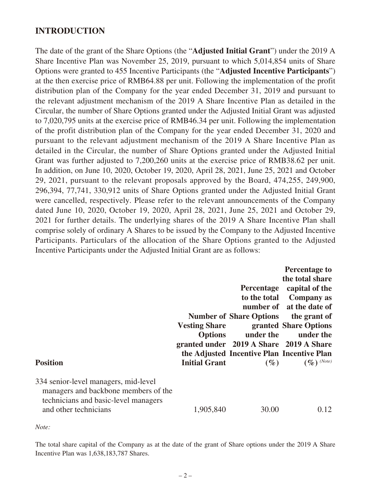#### **INTRODUCTION**

The date of the grant of the Share Options (the "**Adjusted Initial Grant**") under the 2019 A Share Incentive Plan was November 25, 2019, pursuant to which 5,014,854 units of Share Options were granted to 455 Incentive Participants (the "**Adjusted Incentive Participants**") at the then exercise price of RMB64.88 per unit. Following the implementation of the profit distribution plan of the Company for the year ended December 31, 2019 and pursuant to the relevant adjustment mechanism of the 2019 A Share Incentive Plan as detailed in the Circular, the number of Share Options granted under the Adjusted Initial Grant was adjusted to 7,020,795 units at the exercise price of RMB46.34 per unit. Following the implementation of the profit distribution plan of the Company for the year ended December 31, 2020 and pursuant to the relevant adjustment mechanism of the 2019 A Share Incentive Plan as detailed in the Circular, the number of Share Options granted under the Adjusted Initial Grant was further adjusted to 7,200,260 units at the exercise price of RMB38.62 per unit. In addition, on June 10, 2020, October 19, 2020, April 28, 2021, June 25, 2021 and October 29, 2021, pursuant to the relevant proposals approved by the Board, 474,255, 249,900, 296,394, 77,741, 330,912 units of Share Options granted under the Adjusted Initial Grant were cancelled, respectively. Please refer to the relevant announcements of the Company dated June 10, 2020, October 19, 2020, April 28, 2021, June 25, 2021 and October 29, 2021 for further details. The underlying shares of the 2019 A Share Incentive Plan shall comprise solely of ordinary A Shares to be issued by the Company to the Adjusted Incentive Participants. Particulars of the allocation of the Share Options granted to the Adjusted Incentive Participants under the Adjusted Initial Grant are as follows:

| <b>Position</b>                                                                                                                               | <b>Vesting Share</b><br><b>Initial Grant</b> | <b>Percentage</b><br><b>Number of Share Options</b><br>Options under the under the<br>granted under 2019 A Share 2019 A Share<br>the Adjusted Incentive Plan Incentive Plan<br>$(\%)$ | <b>Percentage to</b><br>the total share<br>capital of the<br>to the total Company as<br>number of at the date of<br>the grant of<br>granted Share Options<br>$(\%)$ (Note) |
|-----------------------------------------------------------------------------------------------------------------------------------------------|----------------------------------------------|---------------------------------------------------------------------------------------------------------------------------------------------------------------------------------------|----------------------------------------------------------------------------------------------------------------------------------------------------------------------------|
| 334 senior-level managers, mid-level<br>managers and backbone members of the<br>technicians and basic-level managers<br>and other technicians | 1,905,840                                    | 30.00                                                                                                                                                                                 | 0.12                                                                                                                                                                       |

*Note:*

The total share capital of the Company as at the date of the grant of Share options under the 2019 A Share Incentive Plan was 1,638,183,787 Shares.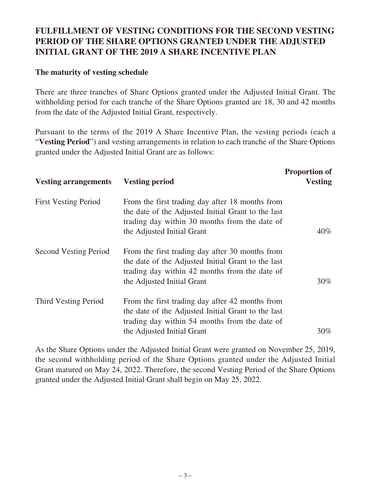## **FULFILLMENT OF VESTING CONDITIONS FOR THE SECOND VESTING PERIOD OF THE SHARE OPTIONS GRANTED UNDER THE ADJUSTED INITIAL GRANT OF THE 2019 A SHARE INCENTIVE PLAN**

#### **The maturity of vesting schedule**

There are three tranches of Share Options granted under the Adjusted Initial Grant. The withholding period for each tranche of the Share Options granted are 18, 30 and 42 months from the date of the Adjusted Initial Grant, respectively.

Pursuant to the terms of the 2019 A Share Incentive Plan, the vesting periods (each a "**Vesting Period**") and vesting arrangements in relation to each tranche of the Share Options granted under the Adjusted Initial Grant are as follows:

| <b>Vesting arrangements</b> | <b>Vesting period</b>                                                                                                                                                                | <b>Proportion of</b><br><b>Vesting</b> |
|-----------------------------|--------------------------------------------------------------------------------------------------------------------------------------------------------------------------------------|----------------------------------------|
| <b>First Vesting Period</b> | From the first trading day after 18 months from<br>the date of the Adjusted Initial Grant to the last<br>trading day within 30 months from the date of<br>the Adjusted Initial Grant | $40\%$                                 |
| Second Vesting Period       | From the first trading day after 30 months from<br>the date of the Adjusted Initial Grant to the last<br>trading day within 42 months from the date of<br>the Adjusted Initial Grant | $30\%$                                 |
| Third Vesting Period        | From the first trading day after 42 months from<br>the date of the Adjusted Initial Grant to the last<br>trading day within 54 months from the date of<br>the Adjusted Initial Grant | $30\%$                                 |

As the Share Options under the Adjusted Initial Grant were granted on November 25, 2019, the second withholding period of the Share Options granted under the Adjusted Initial Grant matured on May 24, 2022. Therefore, the second Vesting Period of the Share Options granted under the Adjusted Initial Grant shall begin on May 25, 2022.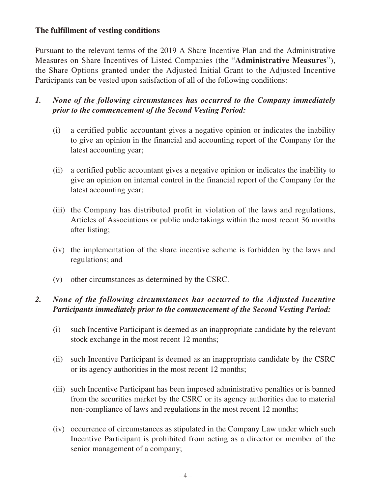#### **The fulfillment of vesting conditions**

Pursuant to the relevant terms of the 2019 A Share Incentive Plan and the Administrative Measures on Share Incentives of Listed Companies (the "**Administrative Measures**"), the Share Options granted under the Adjusted Initial Grant to the Adjusted Incentive Participants can be vested upon satisfaction of all of the following conditions:

## *1. None of the following circumstances has occurred to the Company immediately prior to the commencement of the Second Vesting Period:*

- (i) a certified public accountant gives a negative opinion or indicates the inability to give an opinion in the financial and accounting report of the Company for the latest accounting year;
- (ii) a certified public accountant gives a negative opinion or indicates the inability to give an opinion on internal control in the financial report of the Company for the latest accounting year;
- (iii) the Company has distributed profit in violation of the laws and regulations, Articles of Associations or public undertakings within the most recent 36 months after listing;
- (iv) the implementation of the share incentive scheme is forbidden by the laws and regulations; and
- (v) other circumstances as determined by the CSRC.

## *2. None of the following circumstances has occurred to the Adjusted Incentive Participants immediately prior to the commencement of the Second Vesting Period:*

- (i) such Incentive Participant is deemed as an inappropriate candidate by the relevant stock exchange in the most recent 12 months;
- (ii) such Incentive Participant is deemed as an inappropriate candidate by the CSRC or its agency authorities in the most recent 12 months;
- (iii) such Incentive Participant has been imposed administrative penalties or is banned from the securities market by the CSRC or its agency authorities due to material non-compliance of laws and regulations in the most recent 12 months;
- (iv) occurrence of circumstances as stipulated in the Company Law under which such Incentive Participant is prohibited from acting as a director or member of the senior management of a company;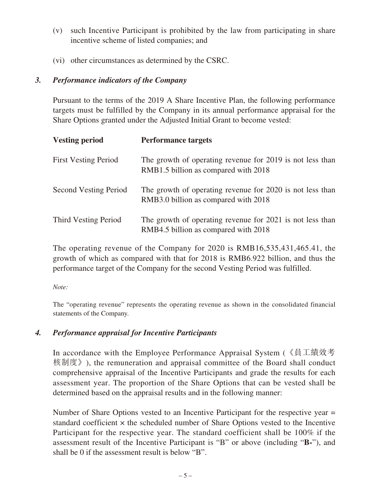- (v) such Incentive Participant is prohibited by the law from participating in share incentive scheme of listed companies; and
- (vi) other circumstances as determined by the CSRC.

#### *3. Performance indicators of the Company*

Pursuant to the terms of the 2019 A Share Incentive Plan, the following performance targets must be fulfilled by the Company in its annual performance appraisal for the Share Options granted under the Adjusted Initial Grant to become vested:

| <b>Vesting period</b>        | <b>Performance targets</b>                                                                        |
|------------------------------|---------------------------------------------------------------------------------------------------|
| <b>First Vesting Period</b>  | The growth of operating revenue for 2019 is not less than<br>RMB1.5 billion as compared with 2018 |
| <b>Second Vesting Period</b> | The growth of operating revenue for 2020 is not less than<br>RMB3.0 billion as compared with 2018 |
| Third Vesting Period         | The growth of operating revenue for 2021 is not less than<br>RMB4.5 billion as compared with 2018 |

The operating revenue of the Company for 2020 is RMB16,535,431,465.41, the growth of which as compared with that for 2018 is RMB6.922 billion, and thus the performance target of the Company for the second Vesting Period was fulfilled.

*Note:*

The "operating revenue" represents the operating revenue as shown in the consolidated financial statements of the Company.

## *4. Performance appraisal for Incentive Participants*

In accordance with the Employee Performance Appraisal System (《員工績效考 核制度》), the remuneration and appraisal committee of the Board shall conduct comprehensive appraisal of the Incentive Participants and grade the results for each assessment year. The proportion of the Share Options that can be vested shall be determined based on the appraisal results and in the following manner:

Number of Share Options vested to an Incentive Participant for the respective year = standard coefficient  $\times$  the scheduled number of Share Options vested to the Incentive Participant for the respective year. The standard coefficient shall be 100% if the assessment result of the Incentive Participant is "B" or above (including "**B-**"), and shall be 0 if the assessment result is below "B".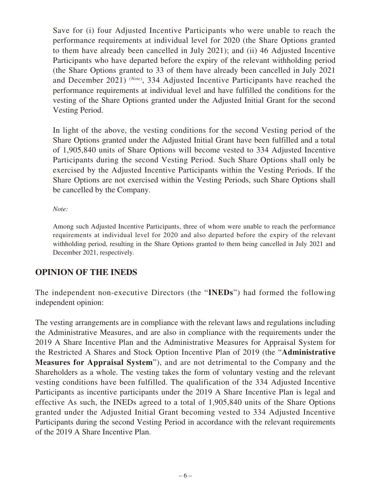Save for (i) four Adjusted Incentive Participants who were unable to reach the performance requirements at individual level for 2020 (the Share Options granted to them have already been cancelled in July 2021); and (ii) 46 Adjusted Incentive Participants who have departed before the expiry of the relevant withholding period (the Share Options granted to 33 of them have already been cancelled in July 2021 and December 2021) *(Note)*, 334 Adjusted Incentive Participants have reached the performance requirements at individual level and have fulfilled the conditions for the vesting of the Share Options granted under the Adjusted Initial Grant for the second Vesting Period.

In light of the above, the vesting conditions for the second Vesting period of the Share Options granted under the Adjusted Initial Grant have been fulfilled and a total of 1,905,840 units of Share Options will become vested to 334 Adjusted Incentive Participants during the second Vesting Period. Such Share Options shall only be exercised by the Adjusted Incentive Participants within the Vesting Periods. If the Share Options are not exercised within the Vesting Periods, such Share Options shall be cancelled by the Company.

*Note:*

Among such Adjusted Incentive Participants, three of whom were unable to reach the performance requirements at individual level for 2020 and also departed before the expiry of the relevant withholding period, resulting in the Share Options granted to them being cancelled in July 2021 and December 2021, respectively.

## **OPINION OF THE INEDS**

The independent non-executive Directors (the "**INEDs**") had formed the following independent opinion:

The vesting arrangements are in compliance with the relevant laws and regulations including the Administrative Measures, and are also in compliance with the requirements under the 2019 A Share Incentive Plan and the Administrative Measures for Appraisal System for the Restricted A Shares and Stock Option Incentive Plan of 2019 (the "**Administrative Measures for Appraisal System**"), and are not detrimental to the Company and the Shareholders as a whole. The vesting takes the form of voluntary vesting and the relevant vesting conditions have been fulfilled. The qualification of the 334 Adjusted Incentive Participants as incentive participants under the 2019 A Share Incentive Plan is legal and effective As such, the INEDs agreed to a total of 1,905,840 units of the Share Options granted under the Adjusted Initial Grant becoming vested to 334 Adjusted Incentive Participants during the second Vesting Period in accordance with the relevant requirements of the 2019 A Share Incentive Plan.